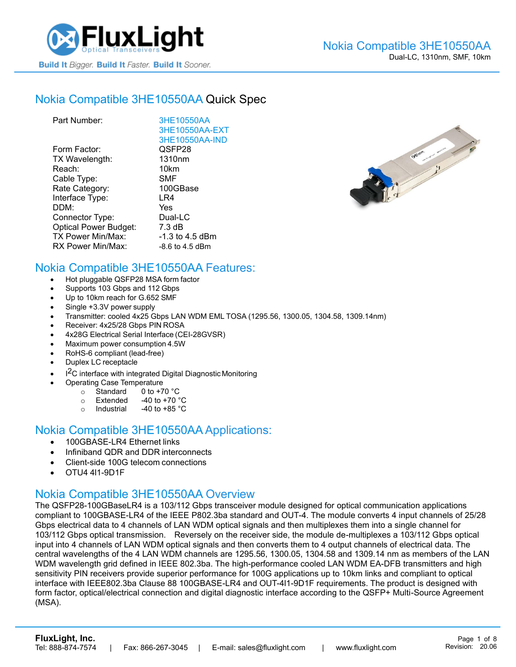

#### Nokia [Compatible 3HE10550AA](https://www.fluxlight.com/3HE10550AA/) Quick Spec

| Part Number:                 | 3HE10550AA         |
|------------------------------|--------------------|
|                              | 3HE10550AA-EXT     |
|                              | 3HE10550AA-IND     |
| Form Factor:                 | QSFP28             |
| TX Wavelength:               | 1310 <sub>nm</sub> |
| Reach:                       | 10km               |
| Cable Type:                  | <b>SMF</b>         |
| Rate Category:               | 100GBase           |
| Interface Type:              | LR4                |
| DDM:                         | Yes                |
| Connector Type:              | Dual-LC            |
| <b>Optical Power Budget:</b> | 7.3 dB             |
| TX Power Min/Max:            | $-1.3$ to 4.5 dBm  |
| RX Power Min/Max:            | $-8.6$ to 4.5 dBm  |



#### Nokia Compatible [3HE10550AA](https://www.fluxlight.com/3HE10550AA/) Features:

- Hot pluggable QSFP28 MSA form factor
- Supports 103 Gbps and 112 Gbps
- Up to 10km reach for G.652 SMF
- Single +3.3V power supply
- Transmitter: cooled 4x25 Gbps LAN WDM EML TOSA (1295.56, 1300.05, 1304.58, 1309.14nm)
- Receiver: 4x25/28 Gbps PIN ROSA
- 4x28G Electrical Serial Interface (CEI-28GVSR)
- Maximum power consumption 4.5W
- RoHS-6 compliant (lead-free)
- Duplex LC receptacle
- I<sup>2</sup>C interface with integrated Digital Diagnostic Monitoring
	- Operating Case Temperature
		- o Standard 0 to +70 °C
		- $\circ$  Extended -40 to +70  $\degree$ C
		- o Industrial  $-40$  to  $+85$  °C

#### Nokia Compatible [3HE10550AA](https://www.fluxlight.com/3HE10550AA/) Applications:

- 100GBASE-LR4 Ethernet links
- Infiniband QDR and DDR interconnects
- Client-side 100G telecom connections
- OTU4 4l1-9D1F

## Nokia Compatible [3HE10550AA](https://www.fluxlight.com/3HE10550AA/) Overview

The QSFP28-100GBaseLR4 is a 103/112 Gbps transceiver module designed for optical communication applications compliant to 100GBASE-LR4 of the IEEE P802.3ba standard and OUT-4. The module converts 4 input channels of 25/28 Gbps electrical data to 4 channels of LAN WDM optical signals and then multiplexes them into a single channel for 103/112 Gbps optical transmission. Reversely on the receiver side, the module de-multiplexes a 103/112 Gbps optical input into 4 channels of LAN WDM optical signals and then converts them to 4 output channels of electrical data. The central wavelengths of the 4 LAN WDM channels are 1295.56, 1300.05, 1304.58 and 1309.14 nm as members of the LAN WDM wavelength grid defined in IEEE 802.3ba. The high-performance cooled LAN WDM EA-DFB transmitters and high sensitivity PIN receivers provide superior performance for 100G applications up to 10km links and compliant to optical interface with IEEE802.3ba Clause 88 100GBASE-LR4 and OUT-4l1-9D1F requirements. The product is designed with form factor, optical/electrical connection and digital diagnostic interface according to the QSFP+ Multi-Source Agreement (MSA).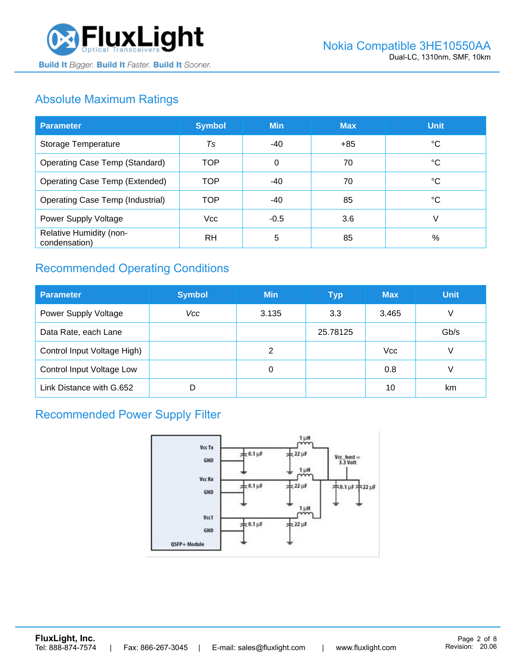

## Absolute Maximum Ratings

| <b>Parameter</b>                         | <b>Symbol</b> | <b>Min</b> | <b>Max</b> | <b>Unit</b> |
|------------------------------------------|---------------|------------|------------|-------------|
| Storage Temperature                      | Ts            | -40        | $+85$      | ℃           |
| <b>Operating Case Temp (Standard)</b>    | <b>TOP</b>    | 0          | 70         | °C          |
| <b>Operating Case Temp (Extended)</b>    | <b>TOP</b>    | $-40$      | 70         | °C          |
| <b>Operating Case Temp (Industrial)</b>  | <b>TOP</b>    | -40        | 85         | °C          |
| Power Supply Voltage                     | <b>Vcc</b>    | $-0.5$     | 3.6        | V           |
| Relative Humidity (non-<br>condensation) | <b>RH</b>     | 5          | 85         | %           |

## Recommended Operating Conditions

| <b>Parameter</b>            | <b>Symbol</b> | <b>Min</b> | <b>Typ</b> | <b>Max</b> | <b>Unit</b> |
|-----------------------------|---------------|------------|------------|------------|-------------|
| Power Supply Voltage        | Vcc           | 3.135      | 3.3        | 3.465      | V           |
| Data Rate, each Lane        |               |            | 25.78125   |            | Gb/s        |
| Control Input Voltage High) |               | 2          |            | <b>Vcc</b> | V           |
| Control Input Voltage Low   |               | 0          |            | 0.8        |             |
| Link Distance with G.652    | D             |            |            | 10         | km          |

## Recommended Power Supply Filter

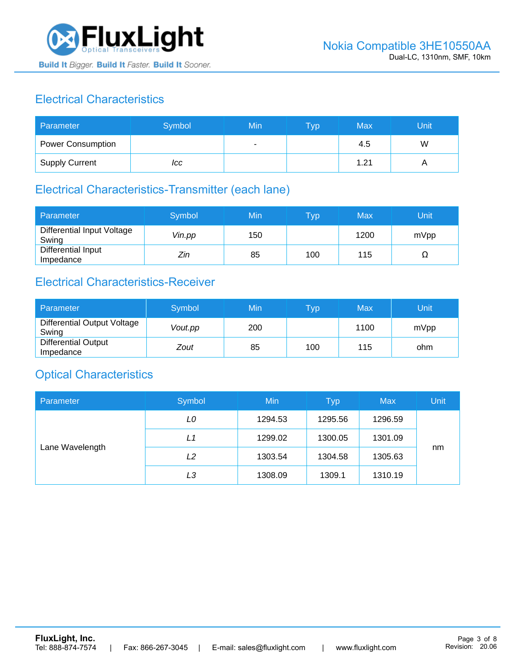

## Electrical Characteristics

| Parameter                | Symbol | Min | <b>Typ</b> | Max  | Unit |
|--------------------------|--------|-----|------------|------|------|
| <b>Power Consumption</b> |        |     |            | 4.5  | W    |
| <b>Supply Current</b>    | ICC    |     |            | 1.21 |      |

# Electrical Characteristics-Transmitter (each lane)

| Parameter                           | Symbol | Min | $\mathsf{Typ}$ | Max  | Unit |
|-------------------------------------|--------|-----|----------------|------|------|
| Differential Input Voltage<br>Swing | Vin.pp | 150 |                | 1200 | mVpp |
| Differential Input<br>Impedance     | Zin    | 85  | 100            | 115  | Ω    |

## Electrical Characteristics-Receiver

| Parameter                               | Symbol  | Min | Typ | Max  | Unit |
|-----------------------------------------|---------|-----|-----|------|------|
| Differential Output Voltage<br>Swing    | Vout.pp | 200 |     | 1100 | mVpp |
| <b>Differential Output</b><br>Impedance | Zout    | 85  | 100 | 115  | ohm  |

#### Optical Characteristics

| Parameter       | Symbol | Min     | <b>Typ</b> | <b>Max</b> | Unit |
|-----------------|--------|---------|------------|------------|------|
| Lane Wavelength | LO     | 1294.53 | 1295.56    | 1296.59    |      |
|                 | L1     | 1299.02 | 1300.05    | 1301.09    |      |
|                 | L2     | 1303.54 | 1304.58    | 1305.63    | nm   |
|                 | LЗ     | 1308.09 | 1309.1     | 1310.19    |      |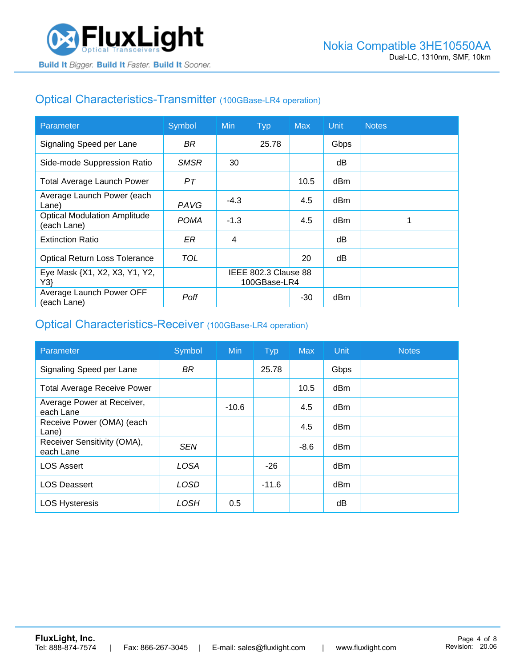## Optical Characteristics-Transmitter (100GBase-LR4 operation)

| Parameter                                          | Symbol      | Min                                  | <b>Typ</b> | <b>Max</b> | Unit | <b>Notes</b> |
|----------------------------------------------------|-------------|--------------------------------------|------------|------------|------|--------------|
| Signaling Speed per Lane                           | BR.         |                                      | 25.78      |            | Gbps |              |
| Side-mode Suppression Ratio                        | <b>SMSR</b> | 30                                   |            |            | dB   |              |
| <b>Total Average Launch Power</b>                  | PТ          |                                      |            | 10.5       | dBm  |              |
| Average Launch Power (each<br>Lane)                | <b>PAVG</b> | $-4.3$                               |            | 4.5        | dBm  |              |
| <b>Optical Modulation Amplitude</b><br>(each Lane) | <b>POMA</b> | $-1.3$                               |            | 4.5        | dBm  |              |
| <b>Extinction Ratio</b>                            | ER          | 4                                    |            |            | dB   |              |
| <b>Optical Return Loss Tolerance</b>               | TOL         |                                      |            | 20         | dB   |              |
| Eye Mask {X1, X2, X3, Y1, Y2,<br>Y3                |             | IEEE 802.3 Clause 88<br>100GBase-LR4 |            |            |      |              |
| Average Launch Power OFF<br>(each Lane)            | Poff        |                                      |            | -30        | dBm  |              |

#### Optical Characteristics-Receiver (100GBase-LR4 operation)

| Parameter                                | Symbol      | <b>Min</b> | <b>Typ</b> | <b>Max</b> | Unit | <b>Notes</b> |
|------------------------------------------|-------------|------------|------------|------------|------|--------------|
| Signaling Speed per Lane                 | <b>BR</b>   |            | 25.78      |            | Gbps |              |
| <b>Total Average Receive Power</b>       |             |            |            | 10.5       | dBm  |              |
| Average Power at Receiver,<br>each Lane  |             | $-10.6$    |            | 4.5        | dBm  |              |
| Receive Power (OMA) (each<br>Lane)       |             |            |            | 4.5        | dBm  |              |
| Receiver Sensitivity (OMA),<br>each Lane | <b>SEN</b>  |            |            | $-8.6$     | dBm  |              |
| <b>LOS Assert</b>                        | <b>LOSA</b> |            | $-26$      |            | dBm  |              |
| <b>LOS Deassert</b>                      | LOSD        |            | $-11.6$    |            | dBm  |              |
| <b>LOS Hysteresis</b>                    | LOSH        | 0.5        |            |            | dΒ   |              |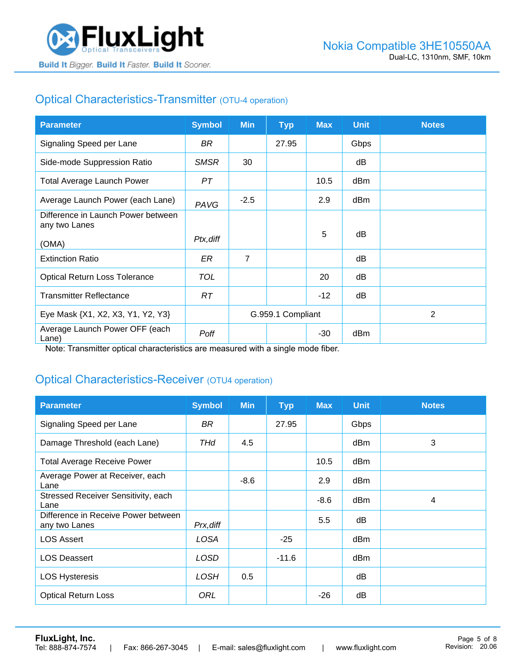

## Optical Characteristics-Transmitter (OTU-4 operation)

| <b>Parameter</b>                                    | <b>Symbol</b> | <b>Min</b>        | <b>Typ</b> | <b>Max</b> | <b>Unit</b> | <b>Notes</b> |
|-----------------------------------------------------|---------------|-------------------|------------|------------|-------------|--------------|
| Signaling Speed per Lane                            | BR.           |                   | 27.95      |            | Gbps        |              |
| Side-mode Suppression Ratio                         | <b>SMSR</b>   | 30                |            |            | dB          |              |
| <b>Total Average Launch Power</b>                   | PT            |                   |            | 10.5       | dBm         |              |
| Average Launch Power (each Lane)                    | PAVG          | $-2.5$            |            | 2.9        | dBm         |              |
| Difference in Launch Power between<br>any two Lanes |               |                   |            |            |             |              |
| (OMA)                                               | Ptx, diff     |                   |            | 5          | dB          |              |
| <b>Extinction Ratio</b>                             | ER            | $\overline{7}$    |            |            | dB          |              |
| <b>Optical Return Loss Tolerance</b>                | <b>TOL</b>    |                   |            | 20         | dB          |              |
| <b>Transmitter Reflectance</b>                      | RT.           |                   |            | $-12$      | dB          |              |
| Eye Mask {X1, X2, X3, Y1, Y2, Y3}                   |               | G.959.1 Compliant |            |            |             | 2            |
| Average Launch Power OFF (each<br>Lane)             | Poff          |                   |            | $-30$      | dBm         |              |

Note: Transmitter optical characteristics are measured with a single mode fiber.

#### Optical Characteristics-Receiver (OTU4 operation)

| <b>Parameter</b>                                     | <b>Symbol</b> | <b>Min</b> | <b>Typ</b> | <b>Max</b> | <b>Unit</b> | <b>Notes</b> |
|------------------------------------------------------|---------------|------------|------------|------------|-------------|--------------|
| Signaling Speed per Lane                             | BR            |            | 27.95      |            | Gbps        |              |
| Damage Threshold (each Lane)                         | THd           | 4.5        |            |            | dBm         | 3            |
| <b>Total Average Receive Power</b>                   |               |            |            | 10.5       | dBm         |              |
| Average Power at Receiver, each<br>Lane              |               | $-8.6$     |            | 2.9        | dBm         |              |
| Stressed Receiver Sensitivity, each<br>Lane          |               |            |            | $-8.6$     | dBm         | 4            |
| Difference in Receive Power between<br>any two Lanes | Prx, diff     |            |            | 5.5        | dB          |              |
| <b>LOS Assert</b>                                    | LOSA          |            | $-25$      |            | dBm         |              |
| <b>LOS Deassert</b>                                  | LOSD          |            | $-11.6$    |            | dBm         |              |
| <b>LOS Hysteresis</b>                                | <b>LOSH</b>   | 0.5        |            |            | dB          |              |
| <b>Optical Return Loss</b>                           | ORL           |            |            | $-26$      | dB          |              |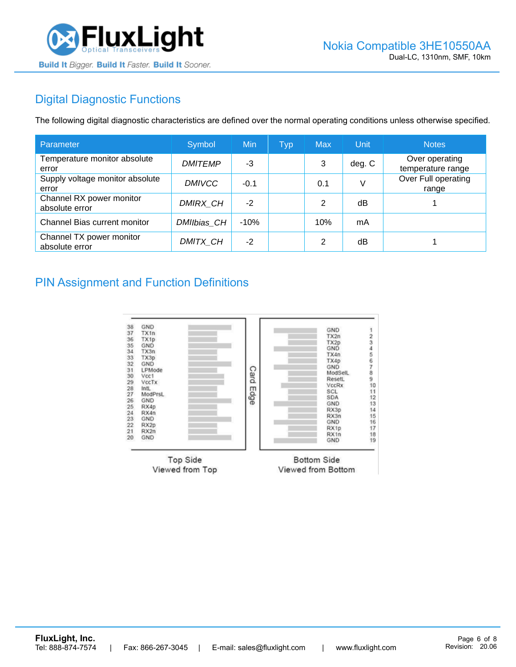

## Digital Diagnostic Functions

The following digital diagnostic characteristics are defined over the normal operating conditions unless otherwise specified.

| Parameter                                  | Symbol         | Min    | <b>Typ</b> | <b>Max</b> | Unit   | <b>Notes</b>                        |
|--------------------------------------------|----------------|--------|------------|------------|--------|-------------------------------------|
| Temperature monitor absolute<br>error      | <b>DMITEMP</b> | -3     |            | 3          | deg. C | Over operating<br>temperature range |
| Supply voltage monitor absolute<br>error   | <b>DMIVCC</b>  | $-0.1$ |            | 0.1        | V      | Over Full operating<br>range        |
| Channel RX power monitor<br>absolute error | DMIRX_CH       | $-2$   |            | 2          | dB     |                                     |
| Channel Bias current monitor               | DMIIbias CH    | $-10%$ |            | 10%        | mA     |                                     |
| Channel TX power monitor<br>absolute error | DMITX CH       | $-2$   |            | 2          | dB     |                                     |

#### PIN Assignment and Function Definitions

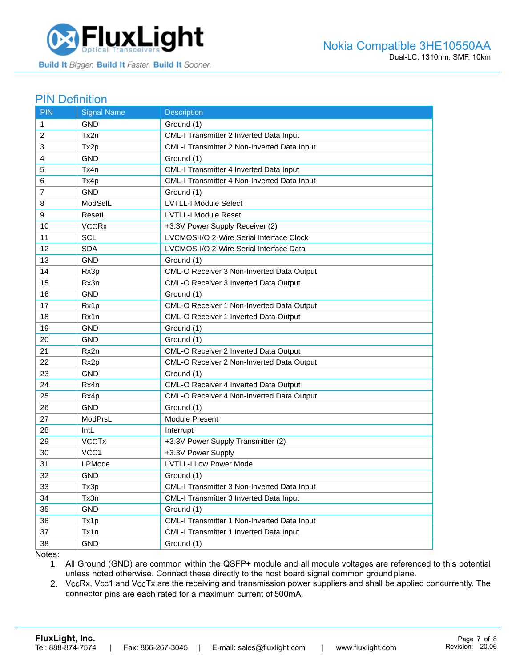

#### PIN Definition

| <b>PIN</b>     | <b>Signal Name</b>      | <b>Description</b>                          |
|----------------|-------------------------|---------------------------------------------|
| 1              | <b>GND</b>              | Ground (1)                                  |
| 2              | Tx2n                    | CML-I Transmitter 2 Inverted Data Input     |
| 3              | Tx2p                    | CML-I Transmitter 2 Non-Inverted Data Input |
| 4              | <b>GND</b>              | Ground (1)                                  |
| 5              | Tx4n                    | CML-I Transmitter 4 Inverted Data Input     |
| 6              | Tx4p                    | CML-I Transmitter 4 Non-Inverted Data Input |
| $\overline{7}$ | <b>GND</b>              | Ground (1)                                  |
| 8              | ModSelL                 | <b>LVTLL-I Module Select</b>                |
| 9              | ResetL                  | <b>LVTLL-I Module Reset</b>                 |
| 10             | <b>VCCR<sub>x</sub></b> | +3.3V Power Supply Receiver (2)             |
| 11             | <b>SCL</b>              | LVCMOS-I/O 2-Wire Serial Interface Clock    |
| 12             | <b>SDA</b>              | LVCMOS-I/O 2-Wire Serial Interface Data     |
| 13             | <b>GND</b>              | Ground (1)                                  |
| 14             | Rx3p                    | CML-O Receiver 3 Non-Inverted Data Output   |
| 15             | Rx3n                    | CML-O Receiver 3 Inverted Data Output       |
| 16             | GND                     | Ground (1)                                  |
| 17             | Rx1p                    | CML-O Receiver 1 Non-Inverted Data Output   |
| 18             | Rx1n                    | CML-O Receiver 1 Inverted Data Output       |
| 19             | <b>GND</b>              | Ground (1)                                  |
| 20             | <b>GND</b>              | Ground (1)                                  |
| 21             | Rx2n                    | CML-O Receiver 2 Inverted Data Output       |
| 22             | Rx2p                    | CML-O Receiver 2 Non-Inverted Data Output   |
| 23             | GND                     | Ground (1)                                  |
| 24             | Rx4n                    | CML-O Receiver 4 Inverted Data Output       |
| 25             | Rx4p                    | CML-O Receiver 4 Non-Inverted Data Output   |
| 26             | <b>GND</b>              | Ground (1)                                  |
| 27             | ModPrsL                 | Module Present                              |
| 28             | IntL                    | Interrupt                                   |
| 29             | <b>VCCTx</b>            | +3.3V Power Supply Transmitter (2)          |
| 30             | VCC1                    | +3.3V Power Supply                          |
| 31             | LPMode                  | <b>LVTLL-I Low Power Mode</b>               |
| 32             | <b>GND</b>              | Ground (1)                                  |
| 33             | Tx3p                    | CML-I Transmitter 3 Non-Inverted Data Input |
| 34             | Tx3n                    | CML-I Transmitter 3 Inverted Data Input     |
| 35             | <b>GND</b>              | Ground (1)                                  |
| 36             | Tx1p                    | CML-I Transmitter 1 Non-Inverted Data Input |
| 37             | Tx1n                    | CML-I Transmitter 1 Inverted Data Input     |
| 38             | <b>GND</b>              | Ground (1)                                  |

Notes:

1. All Ground (GND) are common within the QSFP+ module and all module voltages are referenced to this potential unless noted otherwise. Connect these directly to the host board signal common ground plane.

2. VccRx, Vcc1 and VccTx are the receiving and transmission power suppliers and shall be applied concurrently. The connector pins are each rated for a maximum current of 500mA.